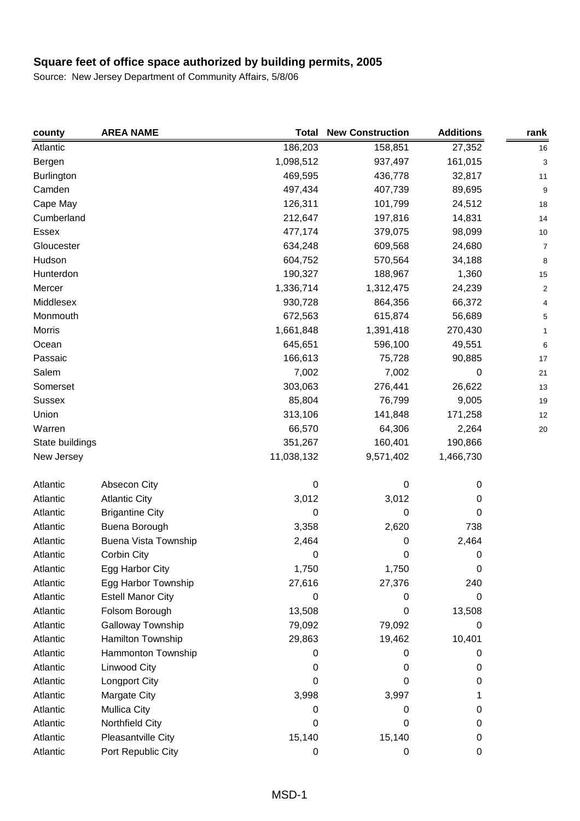| county            | <b>AREA NAME</b>            | <b>Total</b> | <b>New Construction</b> | <b>Additions</b> | rank                    |
|-------------------|-----------------------------|--------------|-------------------------|------------------|-------------------------|
| Atlantic          |                             | 186,203      | 158,851                 | 27,352           | 16                      |
| Bergen            |                             | 1,098,512    | 937,497                 | 161,015          | 3                       |
| <b>Burlington</b> |                             | 469,595      | 436,778                 | 32,817           | 11                      |
| Camden            |                             | 497,434      | 407,739                 | 89,695           | 9                       |
| Cape May          |                             | 126,311      | 101,799                 | 24,512           | 18                      |
| Cumberland        |                             | 212,647      | 197,816                 | 14,831           | 14                      |
| Essex             |                             | 477,174      | 379,075                 | 98,099           | 10                      |
| Gloucester        |                             | 634,248      | 609,568                 | 24,680           | 7                       |
| Hudson            |                             | 604,752      | 570,564                 | 34,188           | 8                       |
| Hunterdon         |                             | 190,327      | 188,967                 | 1,360            | 15                      |
| Mercer            |                             | 1,336,714    | 1,312,475               | 24,239           | $\overline{\mathbf{c}}$ |
| Middlesex         |                             | 930,728      | 864,356                 | 66,372           | 4                       |
| Monmouth          |                             | 672,563      | 615,874                 | 56,689           | 5                       |
| Morris            |                             | 1,661,848    | 1,391,418               | 270,430          | $\mathbf 1$             |
| Ocean             |                             | 645,651      | 596,100                 | 49,551           | 6                       |
| Passaic           |                             | 166,613      | 75,728                  | 90,885           | 17                      |
| Salem             |                             | 7,002        | 7,002                   | 0                | 21                      |
| Somerset          |                             | 303,063      | 276,441                 | 26,622           | 13                      |
| <b>Sussex</b>     |                             | 85,804       | 76,799                  | 9,005            | 19                      |
| Union             |                             | 313,106      | 141,848                 | 171,258          | 12                      |
| Warren            |                             | 66,570       | 64,306                  | 2,264            | 20                      |
| State buildings   |                             | 351,267      | 160,401                 | 190,866          |                         |
| New Jersey        |                             | 11,038,132   | 9,571,402               | 1,466,730        |                         |
| Atlantic          | Absecon City                | $\pmb{0}$    | $\pmb{0}$               | 0                |                         |
| Atlantic          | <b>Atlantic City</b>        | 3,012        | 3,012                   | 0                |                         |
| Atlantic          | <b>Brigantine City</b>      | $\pmb{0}$    | 0                       | 0                |                         |
| Atlantic          | Buena Borough               | 3,358        | 2,620                   | 738              |                         |
| Atlantic          | <b>Buena Vista Township</b> | 2,464        | 0                       | 2,464            |                         |
| Atlantic          | Corbin City                 | 0            | 0                       | 0                |                         |
| Atlantic          | Egg Harbor City             | 1,750        | 1,750                   | 0                |                         |
| Atlantic          | Egg Harbor Township         | 27,616       | 27,376                  | 240              |                         |
| Atlantic          | <b>Estell Manor City</b>    | 0            | 0                       | 0                |                         |
| Atlantic          | Folsom Borough              | 13,508       | 0                       | 13,508           |                         |
| Atlantic          | Galloway Township           | 79,092       | 79,092                  | 0                |                         |
| Atlantic          | Hamilton Township           | 29,863       | 19,462                  | 10,401           |                         |
| Atlantic          | Hammonton Township          | 0            | 0                       | 0                |                         |
| Atlantic          | Linwood City                | 0            | 0                       | 0                |                         |
| Atlantic          | Longport City               | 0            | 0                       | 0                |                         |
| Atlantic          | Margate City                | 3,998        | 3,997                   |                  |                         |
| Atlantic          | <b>Mullica City</b>         | 0            | 0                       | 0                |                         |
| Atlantic          | Northfield City             | 0            | 0                       | 0                |                         |
| Atlantic          | Pleasantville City          | 15,140       | 15,140                  | 0                |                         |
| Atlantic          | Port Republic City          | $\pmb{0}$    | 0                       | 0                |                         |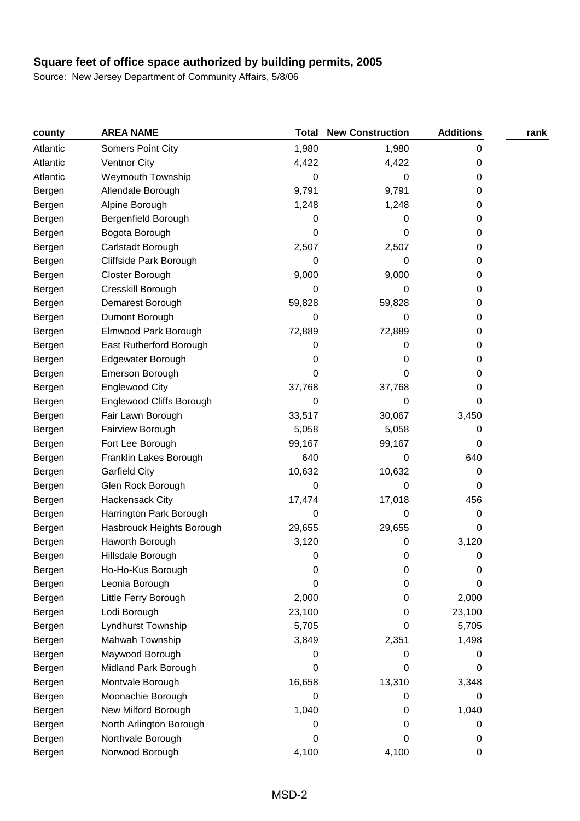| county   | <b>AREA NAME</b>          | Total  | <b>New Construction</b> | <b>Additions</b> | rank |
|----------|---------------------------|--------|-------------------------|------------------|------|
| Atlantic | Somers Point City         | 1,980  | 1,980                   | 0                |      |
| Atlantic | <b>Ventnor City</b>       | 4,422  | 4,422                   | 0                |      |
| Atlantic | <b>Weymouth Township</b>  | 0      | 0                       | 0                |      |
| Bergen   | Allendale Borough         | 9,791  | 9,791                   | 0                |      |
| Bergen   | Alpine Borough            | 1,248  | 1,248                   | 0                |      |
| Bergen   | Bergenfield Borough       | 0      | 0                       | 0                |      |
| Bergen   | Bogota Borough            | 0      | 0                       | 0                |      |
| Bergen   | Carlstadt Borough         | 2,507  | 2,507                   | 0                |      |
| Bergen   | Cliffside Park Borough    | 0      | 0                       | 0                |      |
| Bergen   | Closter Borough           | 9,000  | 9,000                   | 0                |      |
| Bergen   | Cresskill Borough         | 0      | 0                       | 0                |      |
| Bergen   | Demarest Borough          | 59,828 | 59,828                  | 0                |      |
| Bergen   | Dumont Borough            | 0      | 0                       | 0                |      |
| Bergen   | Elmwood Park Borough      | 72,889 | 72,889                  | 0                |      |
| Bergen   | East Rutherford Borough   | 0      | 0                       | 0                |      |
| Bergen   | Edgewater Borough         | 0      | 0                       | 0                |      |
| Bergen   | Emerson Borough           | 0      | 0                       | 0                |      |
| Bergen   | <b>Englewood City</b>     | 37,768 | 37,768                  | 0                |      |
| Bergen   | Englewood Cliffs Borough  | 0      | 0                       | 0                |      |
| Bergen   | Fair Lawn Borough         | 33,517 | 30,067                  | 3,450            |      |
| Bergen   | Fairview Borough          | 5,058  | 5,058                   | 0                |      |
| Bergen   | Fort Lee Borough          | 99,167 | 99,167                  | 0                |      |
| Bergen   | Franklin Lakes Borough    | 640    | 0                       | 640              |      |
| Bergen   | <b>Garfield City</b>      | 10,632 | 10,632                  | 0                |      |
| Bergen   | Glen Rock Borough         | 0      | 0                       | 0                |      |
| Bergen   | Hackensack City           | 17,474 | 17,018                  | 456              |      |
| Bergen   | Harrington Park Borough   | 0      | 0                       | 0                |      |
| Bergen   | Hasbrouck Heights Borough | 29,655 | 29,655                  | 0                |      |
| Bergen   | Haworth Borough           | 3,120  | 0                       | 3,120            |      |
| Bergen   | Hillsdale Borough         | 0      | 0                       | 0                |      |
| Bergen   | Ho-Ho-Kus Borough         | 0      | 0                       | 0                |      |
| Bergen   | Leonia Borough            | 0      | 0                       | 0                |      |
| Bergen   | Little Ferry Borough      | 2,000  | 0                       | 2,000            |      |
| Bergen   | Lodi Borough              | 23,100 | 0                       | 23,100           |      |
| Bergen   | Lyndhurst Township        | 5,705  | 0                       | 5,705            |      |
| Bergen   | Mahwah Township           | 3,849  | 2,351                   | 1,498            |      |
| Bergen   | Maywood Borough           | 0      | 0                       | 0                |      |
| Bergen   | Midland Park Borough      | 0      | 0                       | 0                |      |
| Bergen   | Montvale Borough          | 16,658 | 13,310                  | 3,348            |      |
| Bergen   | Moonachie Borough         | 0      | 0                       | 0                |      |
| Bergen   | New Milford Borough       | 1,040  | 0                       | 1,040            |      |
| Bergen   | North Arlington Borough   | 0      | 0                       | 0                |      |
| Bergen   | Northvale Borough         | 0      | 0                       | 0                |      |
| Bergen   | Norwood Borough           | 4,100  | 4,100                   | 0                |      |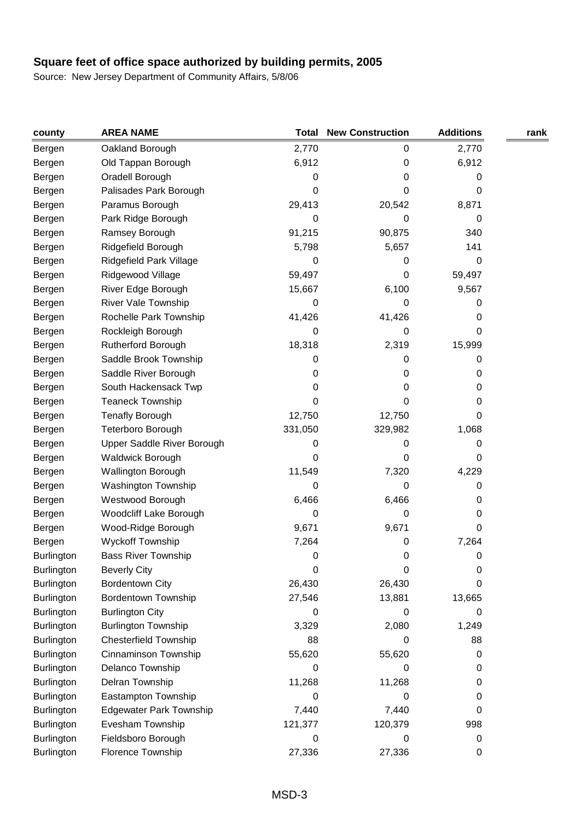| county            | <b>AREA NAME</b>               | <b>Total</b> | <b>New Construction</b> | <b>Additions</b> | rank |
|-------------------|--------------------------------|--------------|-------------------------|------------------|------|
| Bergen            | Oakland Borough                | 2,770        | 0                       | 2,770            |      |
| Bergen            | Old Tappan Borough             | 6,912        | 0                       | 6,912            |      |
| Bergen            | Oradell Borough                | 0            | 0                       | 0                |      |
| Bergen            | Palisades Park Borough         | 0            | 0                       | 0                |      |
| Bergen            | Paramus Borough                | 29,413       | 20,542                  | 8,871            |      |
| Bergen            | Park Ridge Borough             | 0            | 0                       | 0                |      |
| Bergen            | Ramsey Borough                 | 91,215       | 90,875                  | 340              |      |
| Bergen            | Ridgefield Borough             | 5,798        | 5,657                   | 141              |      |
| Bergen            | Ridgefield Park Village        | 0            | 0                       | 0                |      |
| Bergen            | Ridgewood Village              | 59,497       | 0                       | 59,497           |      |
| Bergen            | River Edge Borough             | 15,667       | 6,100                   | 9,567            |      |
| Bergen            | River Vale Township            | 0            | 0                       | 0                |      |
| Bergen            | Rochelle Park Township         | 41,426       | 41,426                  | 0                |      |
| Bergen            | Rockleigh Borough              | 0            | 0                       | 0                |      |
| Bergen            | Rutherford Borough             | 18,318       | 2,319                   | 15,999           |      |
| Bergen            | Saddle Brook Township          | 0            | 0                       | 0                |      |
| Bergen            | Saddle River Borough           | 0            | 0                       | 0                |      |
| Bergen            | South Hackensack Twp           | 0            | 0                       | 0                |      |
| Bergen            | <b>Teaneck Township</b>        | 0            | 0                       | 0                |      |
| Bergen            | <b>Tenafly Borough</b>         | 12,750       | 12,750                  | 0                |      |
| Bergen            | Teterboro Borough              | 331,050      | 329,982                 | 1,068            |      |
| Bergen            | Upper Saddle River Borough     | 0            | 0                       | 0                |      |
| Bergen            | <b>Waldwick Borough</b>        | 0            | 0                       | 0                |      |
| Bergen            | <b>Wallington Borough</b>      | 11,549       | 7,320                   | 4,229            |      |
| Bergen            | Washington Township            | 0            | 0                       | 0                |      |
| Bergen            | Westwood Borough               | 6,466        | 6,466                   | 0                |      |
| Bergen            | Woodcliff Lake Borough         | 0            | 0                       | 0                |      |
| Bergen            | Wood-Ridge Borough             | 9,671        | 9,671                   | 0                |      |
| Bergen            | <b>Wyckoff Township</b>        | 7,264        | 0                       | 7,264            |      |
| <b>Burlington</b> | <b>Bass River Township</b>     | 0            | 0                       | 0                |      |
| <b>Burlington</b> | <b>Beverly City</b>            | 0            | $\mathbf 0$             | 0                |      |
| Burlington        | <b>Bordentown City</b>         | 26,430       | 26,430                  | 0                |      |
| Burlington        | Bordentown Township            | 27,546       | 13,881                  | 13,665           |      |
| Burlington        | <b>Burlington City</b>         | 0            | 0                       | 0                |      |
| <b>Burlington</b> | <b>Burlington Township</b>     | 3,329        | 2,080                   | 1,249            |      |
| Burlington        | <b>Chesterfield Township</b>   | 88           | 0                       | 88               |      |
| <b>Burlington</b> | Cinnaminson Township           | 55,620       | 55,620                  | 0                |      |
| Burlington        | Delanco Township               | 0            | 0                       | 0                |      |
| Burlington        | Delran Township                | 11,268       | 11,268                  | 0                |      |
| <b>Burlington</b> | Eastampton Township            | 0            | 0                       | 0                |      |
| Burlington        | <b>Edgewater Park Township</b> | 7,440        | 7,440                   | 0                |      |
| Burlington        | Evesham Township               | 121,377      | 120,379                 | 998              |      |
| <b>Burlington</b> | Fieldsboro Borough             | 0            | 0                       | 0                |      |
| <b>Burlington</b> | Florence Township              | 27,336       | 27,336                  | 0                |      |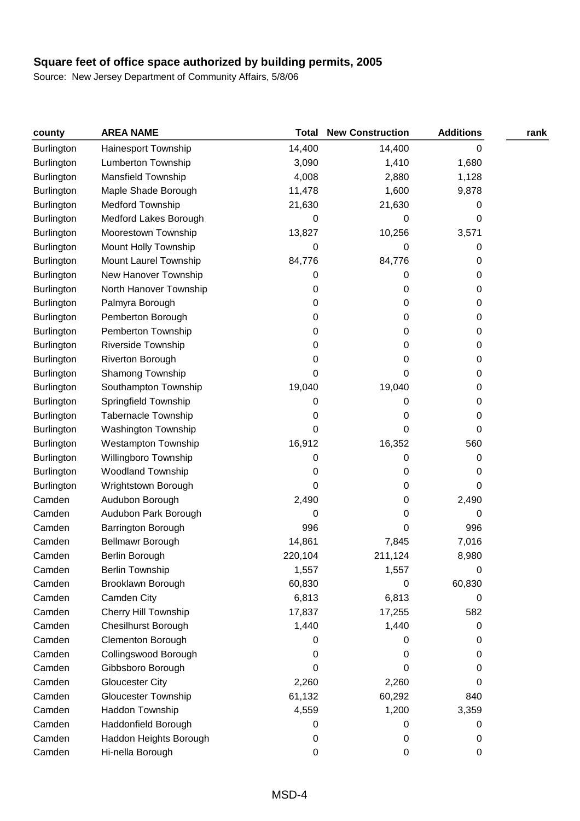| county            | <b>AREA NAME</b>           | Total   | <b>New Construction</b> | <b>Additions</b> | rank |
|-------------------|----------------------------|---------|-------------------------|------------------|------|
| <b>Burlington</b> | Hainesport Township        | 14,400  | 14,400                  | 0                |      |
| <b>Burlington</b> | Lumberton Township         | 3,090   | 1,410                   | 1,680            |      |
| <b>Burlington</b> | <b>Mansfield Township</b>  | 4,008   | 2,880                   | 1,128            |      |
| <b>Burlington</b> | Maple Shade Borough        | 11,478  | 1,600                   | 9,878            |      |
| Burlington        | <b>Medford Township</b>    | 21,630  | 21,630                  | 0                |      |
| Burlington        | Medford Lakes Borough      | 0       | 0                       | 0                |      |
| <b>Burlington</b> | Moorestown Township        | 13,827  | 10,256                  | 3,571            |      |
| <b>Burlington</b> | Mount Holly Township       | 0       | 0                       | 0                |      |
| Burlington        | Mount Laurel Township      | 84,776  | 84,776                  | 0                |      |
| <b>Burlington</b> | New Hanover Township       | 0       | 0                       | 0                |      |
| Burlington        | North Hanover Township     | 0       | 0                       | 0                |      |
| <b>Burlington</b> | Palmyra Borough            | 0       | 0                       | 0                |      |
| <b>Burlington</b> | Pemberton Borough          | 0       | 0                       | 0                |      |
| Burlington        | Pemberton Township         | 0       | 0                       | 0                |      |
| <b>Burlington</b> | Riverside Township         | 0       | 0                       | 0                |      |
| Burlington        | <b>Riverton Borough</b>    | 0       | 0                       | 0                |      |
| <b>Burlington</b> | Shamong Township           | 0       | 0                       | 0                |      |
| <b>Burlington</b> | Southampton Township       | 19,040  | 19,040                  | 0                |      |
| Burlington        | Springfield Township       | 0       | 0                       | 0                |      |
| Burlington        | <b>Tabernacle Township</b> | 0       | 0                       | 0                |      |
| Burlington        | Washington Township        | 0       | 0                       | 0                |      |
| <b>Burlington</b> | Westampton Township        | 16,912  | 16,352                  | 560              |      |
| <b>Burlington</b> | Willingboro Township       | 0       | 0                       | 0                |      |
| Burlington        | <b>Woodland Township</b>   | 0       | 0                       | 0                |      |
| <b>Burlington</b> | Wrightstown Borough        | 0       | 0                       | 0                |      |
| Camden            | Audubon Borough            | 2,490   | 0                       | 2,490            |      |
| Camden            | Audubon Park Borough       | 0       | 0                       | 0                |      |
| Camden            | Barrington Borough         | 996     | 0                       | 996              |      |
| Camden            | <b>Bellmawr Borough</b>    | 14,861  | 7,845                   | 7,016            |      |
| Camden            | Berlin Borough             | 220,104 | 211,124                 | 8,980            |      |
| Camden            | <b>Berlin Township</b>     | 1,557   | 1,557                   | 0                |      |
| Camden            | Brooklawn Borough          | 60,830  | $\mathbf 0$             | 60,830           |      |
| Camden            | Camden City                | 6,813   | 6,813                   | 0                |      |
| Camden            | Cherry Hill Township       | 17,837  | 17,255                  | 582              |      |
| Camden            | <b>Chesilhurst Borough</b> | 1,440   | 1,440                   | 0                |      |
| Camden            | Clementon Borough          | 0       | 0                       | 0                |      |
| Camden            | Collingswood Borough       | 0       | 0                       | 0                |      |
| Camden            | Gibbsboro Borough          | 0       | 0                       | 0                |      |
| Camden            | <b>Gloucester City</b>     | 2,260   | 2,260                   | 0                |      |
| Camden            | <b>Gloucester Township</b> | 61,132  | 60,292                  | 840              |      |
| Camden            | Haddon Township            | 4,559   | 1,200                   | 3,359            |      |
| Camden            | Haddonfield Borough        | 0       | 0                       | 0                |      |
| Camden            | Haddon Heights Borough     | 0       | $\boldsymbol{0}$        | 0                |      |
| Camden            | Hi-nella Borough           | 0       | $\mathbf 0$             | 0                |      |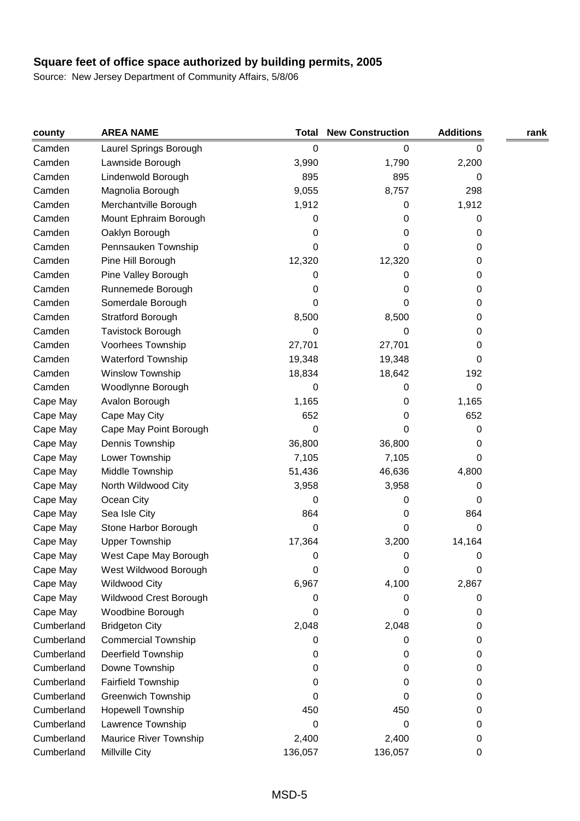| county     | <b>AREA NAME</b>           | Total     | <b>New Construction</b> | <b>Additions</b> | rank |
|------------|----------------------------|-----------|-------------------------|------------------|------|
| Camden     | Laurel Springs Borough     | $\pmb{0}$ | $\mathbf 0$             | 0                |      |
| Camden     | Lawnside Borough           | 3,990     | 1,790                   | 2,200            |      |
| Camden     | Lindenwold Borough         | 895       | 895                     | 0                |      |
| Camden     | Magnolia Borough           | 9,055     | 8,757                   | 298              |      |
| Camden     | Merchantville Borough      | 1,912     | 0                       | 1,912            |      |
| Camden     | Mount Ephraim Borough      | 0         | 0                       | 0                |      |
| Camden     | Oaklyn Borough             | 0         | 0                       | 0                |      |
| Camden     | Pennsauken Township        | 0         | 0                       | 0                |      |
| Camden     | Pine Hill Borough          | 12,320    | 12,320                  | 0                |      |
| Camden     | Pine Valley Borough        | 0         | 0                       | 0                |      |
| Camden     | Runnemede Borough          | 0         | 0                       | 0                |      |
| Camden     | Somerdale Borough          | 0         | 0                       | 0                |      |
| Camden     | <b>Stratford Borough</b>   | 8,500     | 8,500                   | 0                |      |
| Camden     | Tavistock Borough          | 0         | 0                       | 0                |      |
| Camden     | Voorhees Township          | 27,701    | 27,701                  | 0                |      |
| Camden     | <b>Waterford Township</b>  | 19,348    | 19,348                  | 0                |      |
| Camden     | Winslow Township           | 18,834    | 18,642                  | 192              |      |
| Camden     | Woodlynne Borough          | 0         | 0                       | 0                |      |
| Cape May   | Avalon Borough             | 1,165     | 0                       | 1,165            |      |
| Cape May   | Cape May City              | 652       | 0                       | 652              |      |
| Cape May   | Cape May Point Borough     | 0         | 0                       | 0                |      |
| Cape May   | Dennis Township            | 36,800    | 36,800                  | 0                |      |
| Cape May   | Lower Township             | 7,105     | 7,105                   | 0                |      |
| Cape May   | Middle Township            | 51,436    | 46,636                  | 4,800            |      |
| Cape May   | North Wildwood City        | 3,958     | 3,958                   | 0                |      |
| Cape May   | Ocean City                 | 0         | 0                       | 0                |      |
| Cape May   | Sea Isle City              | 864       | 0                       | 864              |      |
| Cape May   | Stone Harbor Borough       | 0         | 0                       | 0                |      |
| Cape May   | <b>Upper Township</b>      | 17,364    | 3,200                   | 14,164           |      |
| Cape May   | West Cape May Borough      | 0         | 0                       | 0                |      |
| Cape May   | West Wildwood Borough      | 0         | 0                       | 0                |      |
| Cape May   | <b>Wildwood City</b>       | 6,967     | 4,100                   | 2,867            |      |
| Cape May   | Wildwood Crest Borough     | 0         | 0                       | 0                |      |
| Cape May   | Woodbine Borough           | 0         | 0                       | 0                |      |
| Cumberland | <b>Bridgeton City</b>      | 2,048     | 2,048                   | 0                |      |
| Cumberland | <b>Commercial Township</b> | 0         | 0                       | 0                |      |
| Cumberland | Deerfield Township         | 0         | 0                       | 0                |      |
| Cumberland | Downe Township             | 0         | 0                       | 0                |      |
| Cumberland | <b>Fairfield Township</b>  | 0         | 0                       | 0                |      |
| Cumberland | <b>Greenwich Township</b>  | 0         | 0                       | 0                |      |
| Cumberland | <b>Hopewell Township</b>   | 450       | 450                     | 0                |      |
| Cumberland | Lawrence Township          | 0         | 0                       | 0                |      |
| Cumberland | Maurice River Township     | 2,400     | 2,400                   | 0                |      |
| Cumberland | Millville City             | 136,057   | 136,057                 | 0                |      |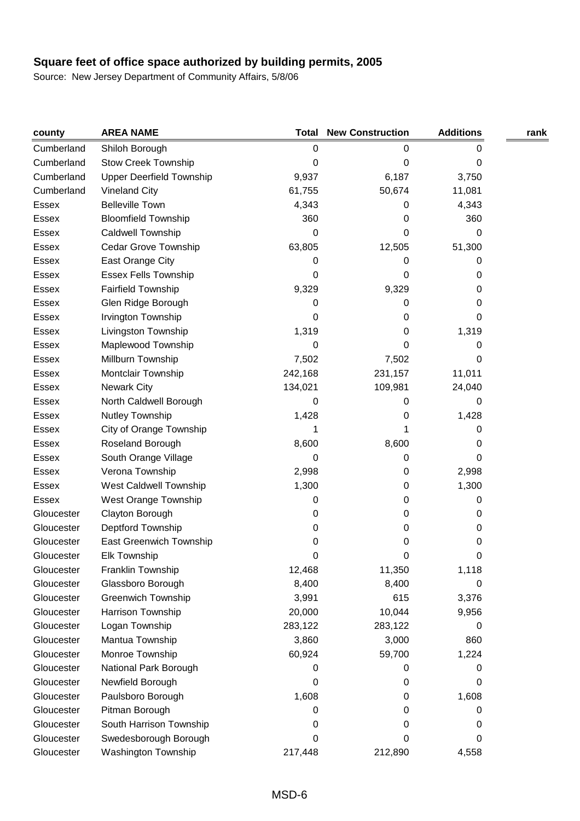| county     | <b>AREA NAME</b>                | Total     | <b>New Construction</b> | <b>Additions</b> | rank |
|------------|---------------------------------|-----------|-------------------------|------------------|------|
| Cumberland | Shiloh Borough                  | $\pmb{0}$ | 0                       | 0                |      |
| Cumberland | <b>Stow Creek Township</b>      | 0         | 0                       | 0                |      |
| Cumberland | <b>Upper Deerfield Township</b> | 9,937     | 6,187                   | 3,750            |      |
| Cumberland | <b>Vineland City</b>            | 61,755    | 50,674                  | 11,081           |      |
| Essex      | <b>Belleville Town</b>          | 4,343     | 0                       | 4,343            |      |
| Essex      | <b>Bloomfield Township</b>      | 360       | 0                       | 360              |      |
| Essex      | Caldwell Township               | 0         | 0                       | 0                |      |
| Essex      | <b>Cedar Grove Township</b>     | 63,805    | 12,505                  | 51,300           |      |
| Essex      | East Orange City                | 0         | 0                       | 0                |      |
| Essex      | Essex Fells Township            | 0         | 0                       | 0                |      |
| Essex      | <b>Fairfield Township</b>       | 9,329     | 9,329                   | 0                |      |
| Essex      | Glen Ridge Borough              | 0         | 0                       | 0                |      |
| Essex      | Irvington Township              | 0         | 0                       | 0                |      |
| Essex      | Livingston Township             | 1,319     | 0                       | 1,319            |      |
| Essex      | Maplewood Township              | 0         | 0                       | 0                |      |
| Essex      | Millburn Township               | 7,502     | 7,502                   | 0                |      |
| Essex      | Montclair Township              | 242,168   | 231,157                 | 11,011           |      |
| Essex      | <b>Newark City</b>              | 134,021   | 109,981                 | 24,040           |      |
| Essex      | North Caldwell Borough          | 0         | 0                       | 0                |      |
| Essex      | Nutley Township                 | 1,428     | 0                       | 1,428            |      |
| Essex      | City of Orange Township         | 1         |                         | 0                |      |
| Essex      | Roseland Borough                | 8,600     | 8,600                   | 0                |      |
| Essex      | South Orange Village            | 0         | 0                       | 0                |      |
| Essex      | Verona Township                 | 2,998     | 0                       | 2,998            |      |
| Essex      | West Caldwell Township          | 1,300     | 0                       | 1,300            |      |
| Essex      | West Orange Township            | 0         | 0                       | 0                |      |
| Gloucester | Clayton Borough                 | 0         | 0                       | 0                |      |
| Gloucester | Deptford Township               | 0         | 0                       | 0                |      |
| Gloucester | East Greenwich Township         | 0         | 0                       | 0                |      |
| Gloucester | <b>Elk Township</b>             | 0         | 0                       | 0                |      |
| Gloucester | Franklin Township               | 12,468    | 11,350                  | 1,118            |      |
| Gloucester | Glassboro Borough               | 8,400     | 8,400                   | 0                |      |
| Gloucester | <b>Greenwich Township</b>       | 3,991     | 615                     | 3,376            |      |
| Gloucester | Harrison Township               | 20,000    | 10,044                  | 9,956            |      |
| Gloucester | Logan Township                  | 283,122   | 283,122                 | 0                |      |
| Gloucester | Mantua Township                 | 3,860     | 3,000                   | 860              |      |
| Gloucester | Monroe Township                 | 60,924    | 59,700                  | 1,224            |      |
| Gloucester | National Park Borough           | 0         | 0                       | 0                |      |
| Gloucester | Newfield Borough                | 0         | 0                       | 0                |      |
| Gloucester | Paulsboro Borough               | 1,608     | 0                       | 1,608            |      |
| Gloucester | Pitman Borough                  | 0         | 0                       | 0                |      |
| Gloucester | South Harrison Township         | 0         | 0                       | 0                |      |
| Gloucester | Swedesborough Borough           | 0         | 0                       | 0                |      |
| Gloucester | Washington Township             | 217,448   | 212,890                 | 4,558            |      |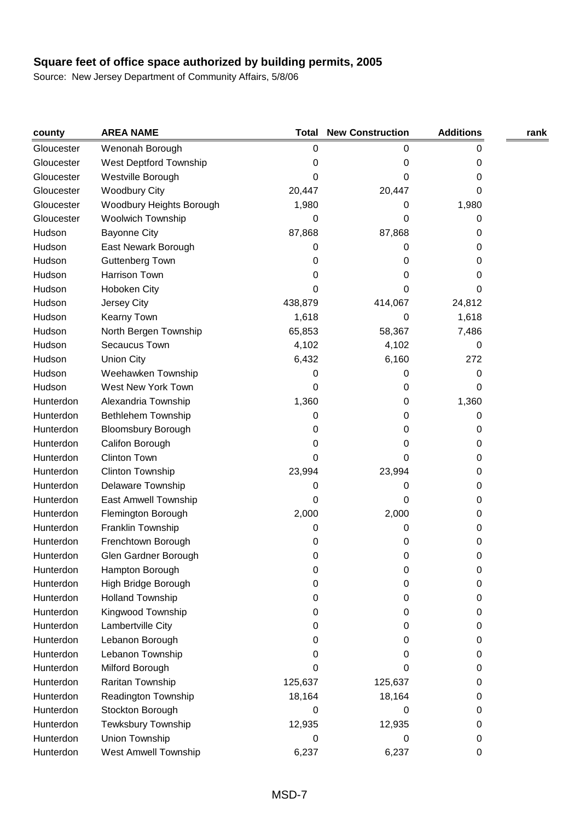| county     | <b>AREA NAME</b>          | Total   | <b>New Construction</b> | <b>Additions</b> | rank |
|------------|---------------------------|---------|-------------------------|------------------|------|
| Gloucester | Wenonah Borough           | 0       | 0                       | 0                |      |
| Gloucester | West Deptford Township    | 0       | 0                       | 0                |      |
| Gloucester | Westville Borough         | 0       | 0                       | 0                |      |
| Gloucester | <b>Woodbury City</b>      | 20,447  | 20,447                  | 0                |      |
| Gloucester | Woodbury Heights Borough  | 1,980   | 0                       | 1,980            |      |
| Gloucester | <b>Woolwich Township</b>  | 0       | 0                       | 0                |      |
| Hudson     | <b>Bayonne City</b>       | 87,868  | 87,868                  | 0                |      |
| Hudson     | East Newark Borough       | 0       | 0                       | 0                |      |
| Hudson     | Guttenberg Town           | 0       | 0                       | 0                |      |
| Hudson     | Harrison Town             | 0       | 0                       | 0                |      |
| Hudson     | Hoboken City              | 0       | 0                       | 0                |      |
| Hudson     | Jersey City               | 438,879 | 414,067                 | 24,812           |      |
| Hudson     | Kearny Town               | 1,618   | 0                       | 1,618            |      |
| Hudson     | North Bergen Township     | 65,853  | 58,367                  | 7,486            |      |
| Hudson     | Secaucus Town             | 4,102   | 4,102                   | 0                |      |
| Hudson     | <b>Union City</b>         | 6,432   | 6,160                   | 272              |      |
| Hudson     | Weehawken Township        | 0       | 0                       | 0                |      |
| Hudson     | West New York Town        | 0       | 0                       | 0                |      |
| Hunterdon  | Alexandria Township       | 1,360   | 0                       | 1,360            |      |
| Hunterdon  | <b>Bethlehem Township</b> | 0       | 0                       | 0                |      |
| Hunterdon  | <b>Bloomsbury Borough</b> | 0       | 0                       | 0                |      |
| Hunterdon  | Califon Borough           | 0       | 0                       | 0                |      |
| Hunterdon  | Clinton Town              | 0       | 0                       | 0                |      |
| Hunterdon  | Clinton Township          | 23,994  | 23,994                  | 0                |      |
| Hunterdon  | Delaware Township         | 0       | 0                       | 0                |      |
| Hunterdon  | East Amwell Township      | 0       | 0                       | 0                |      |
| Hunterdon  | Flemington Borough        | 2,000   | 2,000                   | 0                |      |
| Hunterdon  | Franklin Township         | 0       | 0                       | 0                |      |
| Hunterdon  | Frenchtown Borough        | 0       | 0                       | 0                |      |
| Hunterdon  | Glen Gardner Borough      | 0       | 0                       | 0                |      |
| Hunterdon  | Hampton Borough           | 0       | 0                       | $\pmb{0}$        |      |
| Hunterdon  | High Bridge Borough       | 0       | 0                       | 0                |      |
| Hunterdon  | <b>Holland Township</b>   | 0       | 0                       | 0                |      |
| Hunterdon  | Kingwood Township         | 0       | 0                       | 0                |      |
| Hunterdon  | Lambertville City         | 0       | 0                       | 0                |      |
| Hunterdon  | Lebanon Borough           | 0       | 0                       | 0                |      |
| Hunterdon  | Lebanon Township          | 0       | 0                       | 0                |      |
| Hunterdon  | Milford Borough           | 0       | 0                       | 0                |      |
| Hunterdon  | Raritan Township          | 125,637 | 125,637                 | 0                |      |
| Hunterdon  | Readington Township       | 18,164  | 18,164                  | 0                |      |
| Hunterdon  | Stockton Borough          | 0       | 0                       | 0                |      |
| Hunterdon  | <b>Tewksbury Township</b> | 12,935  | 12,935                  | 0                |      |
| Hunterdon  | Union Township            | 0       | 0                       | 0                |      |
| Hunterdon  | West Amwell Township      | 6,237   | 6,237                   | 0                |      |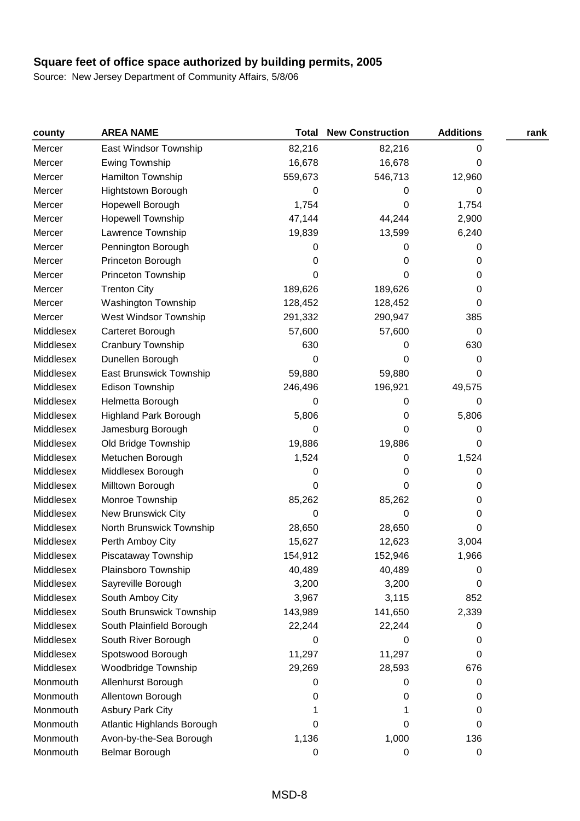| county    | <b>AREA NAME</b>             | <b>Total</b> | <b>New Construction</b> | <b>Additions</b> | rank |
|-----------|------------------------------|--------------|-------------------------|------------------|------|
| Mercer    | East Windsor Township        | 82,216       | 82,216                  | 0                |      |
| Mercer    | <b>Ewing Township</b>        | 16,678       | 16,678                  | 0                |      |
| Mercer    | Hamilton Township            | 559,673      | 546,713                 | 12,960           |      |
| Mercer    | Hightstown Borough           | 0            | 0                       | 0                |      |
| Mercer    | Hopewell Borough             | 1,754        | 0                       | 1,754            |      |
| Mercer    | <b>Hopewell Township</b>     | 47,144       | 44,244                  | 2,900            |      |
| Mercer    | Lawrence Township            | 19,839       | 13,599                  | 6,240            |      |
| Mercer    | Pennington Borough           | 0            | 0                       | 0                |      |
| Mercer    | Princeton Borough            | 0            | 0                       | 0                |      |
| Mercer    | Princeton Township           | 0            | 0                       | 0                |      |
| Mercer    | <b>Trenton City</b>          | 189,626      | 189,626                 | 0                |      |
| Mercer    | Washington Township          | 128,452      | 128,452                 | 0                |      |
| Mercer    | West Windsor Township        | 291,332      | 290,947                 | 385              |      |
| Middlesex | Carteret Borough             | 57,600       | 57,600                  | 0                |      |
| Middlesex | Cranbury Township            | 630          | 0                       | 630              |      |
| Middlesex | Dunellen Borough             | 0            | 0                       | 0                |      |
| Middlesex | East Brunswick Township      | 59,880       | 59,880                  | 0                |      |
| Middlesex | Edison Township              | 246,496      | 196,921                 | 49,575           |      |
| Middlesex | Helmetta Borough             | 0            | 0                       | 0                |      |
| Middlesex | <b>Highland Park Borough</b> | 5,806        | 0                       | 5,806            |      |
| Middlesex | Jamesburg Borough            | 0            | 0                       | 0                |      |
| Middlesex | Old Bridge Township          | 19,886       | 19,886                  | 0                |      |
| Middlesex | Metuchen Borough             | 1,524        | 0                       | 1,524            |      |
| Middlesex | Middlesex Borough            | 0            | 0                       | 0                |      |
| Middlesex | Milltown Borough             | 0            | 0                       | 0                |      |
| Middlesex | Monroe Township              | 85,262       | 85,262                  | 0                |      |
| Middlesex | <b>New Brunswick City</b>    | 0            | 0                       | 0                |      |
| Middlesex | North Brunswick Township     | 28,650       | 28,650                  | 0                |      |
| Middlesex | Perth Amboy City             | 15,627       | 12,623                  | 3,004            |      |
| Middlesex | Piscataway Township          | 154,912      | 152,946                 | 1,966            |      |
| Middlesex | Plainsboro Township          | 40,489       | 40,489                  | 0                |      |
| Middlesex | Sayreville Borough           | 3,200        | 3,200                   | 0                |      |
| Middlesex | South Amboy City             | 3,967        | 3,115                   | 852              |      |
| Middlesex | South Brunswick Township     | 143,989      | 141,650                 | 2,339            |      |
| Middlesex | South Plainfield Borough     | 22,244       | 22,244                  | 0                |      |
| Middlesex | South River Borough          | 0            | 0                       | 0                |      |
| Middlesex | Spotswood Borough            | 11,297       | 11,297                  | 0                |      |
| Middlesex | Woodbridge Township          | 29,269       | 28,593                  | 676              |      |
| Monmouth  | Allenhurst Borough           | 0            | 0                       | 0                |      |
| Monmouth  | Allentown Borough            | O            | O)                      | 0                |      |
| Monmouth  | <b>Asbury Park City</b>      |              |                         | 0                |      |
| Monmouth  | Atlantic Highlands Borough   | 0            | 0                       | 0                |      |
| Monmouth  | Avon-by-the-Sea Borough      | 1,136        | 1,000                   | 136              |      |
| Monmouth  | Belmar Borough               | 0            | 0                       | 0                |      |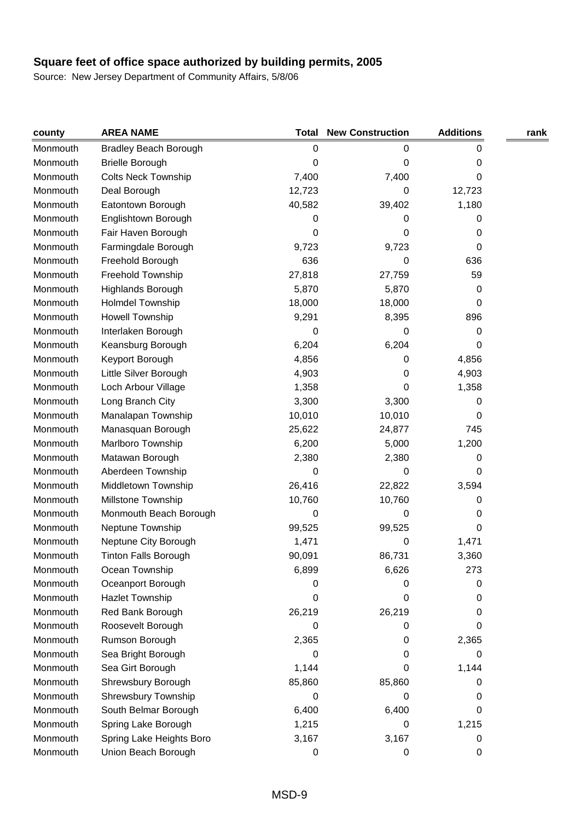| county   | <b>AREA NAME</b>             | Total       | <b>New Construction</b> | <b>Additions</b> | rank |
|----------|------------------------------|-------------|-------------------------|------------------|------|
| Monmouth | <b>Bradley Beach Borough</b> | $\mathbf 0$ | 0                       | 0                |      |
| Monmouth | <b>Brielle Borough</b>       | 0           | 0                       | 0                |      |
| Monmouth | <b>Colts Neck Township</b>   | 7,400       | 7,400                   | 0                |      |
| Monmouth | Deal Borough                 | 12,723      | 0                       | 12,723           |      |
| Monmouth | Eatontown Borough            | 40,582      | 39,402                  | 1,180            |      |
| Monmouth | Englishtown Borough          | 0           | 0                       | 0                |      |
| Monmouth | Fair Haven Borough           | 0           | 0                       | 0                |      |
| Monmouth | Farmingdale Borough          | 9,723       | 9,723                   | 0                |      |
| Monmouth | Freehold Borough             | 636         | 0                       | 636              |      |
| Monmouth | Freehold Township            | 27,818      | 27,759                  | 59               |      |
| Monmouth | Highlands Borough            | 5,870       | 5,870                   | 0                |      |
| Monmouth | <b>Holmdel Township</b>      | 18,000      | 18,000                  | 0                |      |
| Monmouth | <b>Howell Township</b>       | 9,291       | 8,395                   | 896              |      |
| Monmouth | Interlaken Borough           | 0           | 0                       | 0                |      |
| Monmouth | Keansburg Borough            | 6,204       | 6,204                   | 0                |      |
| Monmouth | Keyport Borough              | 4,856       | 0                       | 4,856            |      |
| Monmouth | Little Silver Borough        | 4,903       | 0                       | 4,903            |      |
| Monmouth | Loch Arbour Village          | 1,358       | 0                       | 1,358            |      |
| Monmouth | Long Branch City             | 3,300       | 3,300                   | 0                |      |
| Monmouth | Manalapan Township           | 10,010      | 10,010                  | 0                |      |
| Monmouth | Manasquan Borough            | 25,622      | 24,877                  | 745              |      |
| Monmouth | Marlboro Township            | 6,200       | 5,000                   | 1,200            |      |
| Monmouth | Matawan Borough              | 2,380       | 2,380                   | 0                |      |
| Monmouth | Aberdeen Township            | 0           | 0                       | 0                |      |
| Monmouth | Middletown Township          | 26,416      | 22,822                  | 3,594            |      |
| Monmouth | Millstone Township           | 10,760      | 10,760                  | 0                |      |
| Monmouth | Monmouth Beach Borough       | 0           | 0                       | 0                |      |
| Monmouth | Neptune Township             | 99,525      | 99,525                  | 0                |      |
| Monmouth | Neptune City Borough         | 1,471       | 0                       | 1,471            |      |
| Monmouth | Tinton Falls Borough         | 90,091      | 86,731                  | 3,360            |      |
| Monmouth | Ocean Township               | 6,899       | 6,626                   | 273              |      |
| Monmouth | Oceanport Borough            | 0           | 0                       | 0                |      |
| Monmouth | <b>Hazlet Township</b>       | 0           | 0                       | 0                |      |
| Monmouth | Red Bank Borough             | 26,219      | 26,219                  | 0                |      |
| Monmouth | Roosevelt Borough            | 0           | O                       | Ω                |      |
| Monmouth | Rumson Borough               | 2,365       | 0                       | 2,365            |      |
| Monmouth | Sea Bright Borough           | 0           | 0                       | 0                |      |
| Monmouth | Sea Girt Borough             | 1,144       | 0                       | 1,144            |      |
| Monmouth | Shrewsbury Borough           | 85,860      | 85,860                  | 0                |      |
| Monmouth | <b>Shrewsbury Township</b>   | 0           | O                       | O                |      |
| Monmouth | South Belmar Borough         | 6,400       | 6,400                   | 0                |      |
| Monmouth | Spring Lake Borough          | 1,215       | 0                       | 1,215            |      |
| Monmouth | Spring Lake Heights Boro     | 3,167       | 3,167                   | 0                |      |
| Monmouth | Union Beach Borough          | 0           | 0                       | 0                |      |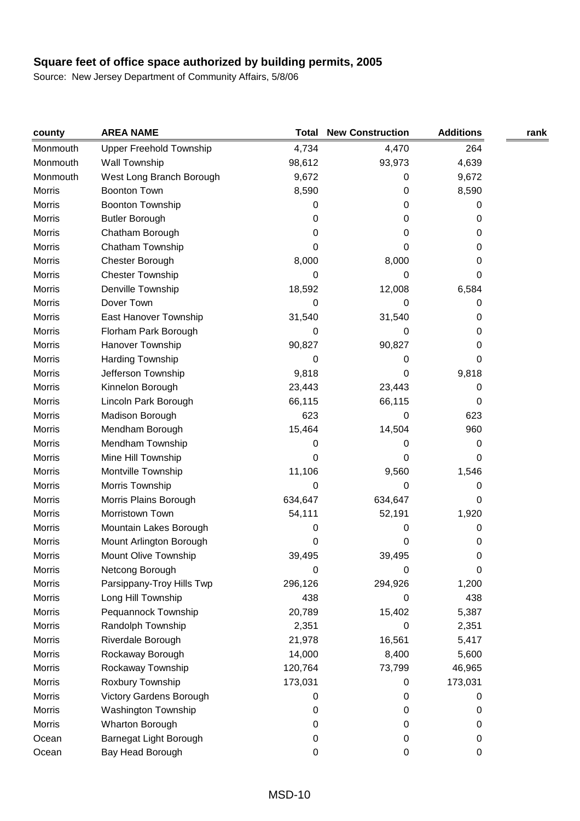| county        | <b>AREA NAME</b>          | <b>Total</b> | <b>New Construction</b> | <b>Additions</b> | rank |
|---------------|---------------------------|--------------|-------------------------|------------------|------|
| Monmouth      | Upper Freehold Township   | 4,734        | 4,470                   | 264              |      |
| Monmouth      | Wall Township             | 98,612       | 93,973                  | 4,639            |      |
| Monmouth      | West Long Branch Borough  | 9,672        | 0                       | 9,672            |      |
| Morris        | <b>Boonton Town</b>       | 8,590        | 0                       | 8,590            |      |
| Morris        | Boonton Township          | 0            | 0                       | 0                |      |
| Morris        | <b>Butler Borough</b>     | 0            | 0                       | 0                |      |
| <b>Morris</b> | Chatham Borough           | 0            | 0                       | 0                |      |
| Morris        | Chatham Township          | 0            | 0                       | 0                |      |
| <b>Morris</b> | Chester Borough           | 8,000        | 8,000                   | 0                |      |
| Morris        | <b>Chester Township</b>   | 0            | 0                       | 0                |      |
| Morris        | Denville Township         | 18,592       | 12,008                  | 6,584            |      |
| <b>Morris</b> | Dover Town                | 0            | 0                       | 0                |      |
| Morris        | East Hanover Township     | 31,540       | 31,540                  | 0                |      |
| Morris        | Florham Park Borough      | 0            | 0                       | 0                |      |
| Morris        | Hanover Township          | 90,827       | 90,827                  | 0                |      |
| Morris        | Harding Township          | 0            | 0                       | 0                |      |
| <b>Morris</b> | Jefferson Township        | 9,818        | 0                       | 9,818            |      |
| Morris        | Kinnelon Borough          | 23,443       | 23,443                  | 0                |      |
| Morris        | Lincoln Park Borough      | 66,115       | 66,115                  | 0                |      |
| Morris        | Madison Borough           | 623          | 0                       | 623              |      |
| Morris        | Mendham Borough           | 15,464       | 14,504                  | 960              |      |
| <b>Morris</b> | Mendham Township          | 0            | 0                       | 0                |      |
| Morris        | Mine Hill Township        | 0            | 0                       | 0                |      |
| Morris        | Montville Township        | 11,106       | 9,560                   | 1,546            |      |
| Morris        | Morris Township           | 0            | 0                       | 0                |      |
| Morris        | Morris Plains Borough     | 634,647      | 634,647                 | 0                |      |
| <b>Morris</b> | Morristown Town           | 54,111       | 52,191                  | 1,920            |      |
| <b>Morris</b> | Mountain Lakes Borough    | 0            | 0                       | 0                |      |
| <b>Morris</b> | Mount Arlington Borough   | 0            | 0                       | 0                |      |
| <b>Morris</b> | Mount Olive Township      | 39,495       | 39,495                  | 0                |      |
| <b>Morris</b> | Netcong Borough           | 0            | 0                       | 0                |      |
| Morris        | Parsippany-Troy Hills Twp | 296,126      | 294,926                 | 1,200            |      |
| Morris        | Long Hill Township        | 438          | 0                       | 438              |      |
| <b>Morris</b> | Pequannock Township       | 20,789       | 15,402                  | 5,387            |      |
| Morris        | Randolph Township         | 2,351        | 0                       | 2,351            |      |
| Morris        | Riverdale Borough         | 21,978       | 16,561                  | 5,417            |      |
| Morris        | Rockaway Borough          | 14,000       | 8,400                   | 5,600            |      |
| Morris        | Rockaway Township         | 120,764      | 73,799                  | 46,965           |      |
| <b>Morris</b> | Roxbury Township          | 173,031      | 0                       | 173,031          |      |
| <b>Morris</b> | Victory Gardens Borough   | 0            | 0                       | 0                |      |
| Morris        | Washington Township       | 0            | 0                       | 0                |      |
| Morris        | Wharton Borough           | 0            | 0                       | 0                |      |
| Ocean         | Barnegat Light Borough    | 0            | 0                       | 0                |      |
| Ocean         | Bay Head Borough          | $\pmb{0}$    | $\pmb{0}$               | 0                |      |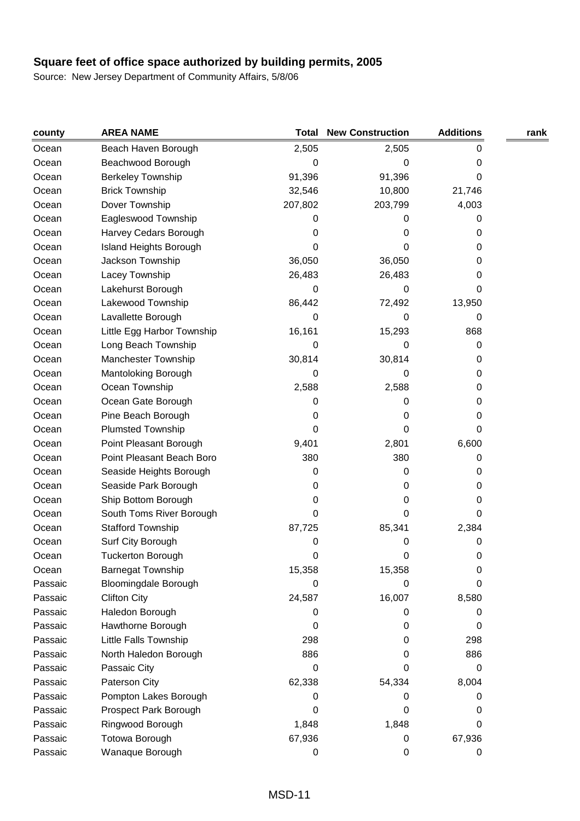| county  | <b>AREA NAME</b>              | Total    | <b>New Construction</b> | <b>Additions</b> | rank |
|---------|-------------------------------|----------|-------------------------|------------------|------|
| Ocean   | Beach Haven Borough           | 2,505    | 2,505                   | 0                |      |
| Ocean   | Beachwood Borough             | 0        | 0                       | 0                |      |
| Ocean   | <b>Berkeley Township</b>      | 91,396   | 91,396                  | 0                |      |
| Ocean   | <b>Brick Township</b>         | 32,546   | 10,800                  | 21,746           |      |
| Ocean   | Dover Township                | 207,802  | 203,799                 | 4,003            |      |
| Ocean   | Eagleswood Township           | 0        | 0                       | 0                |      |
| Ocean   | Harvey Cedars Borough         | 0        | 0                       | 0                |      |
| Ocean   | <b>Island Heights Borough</b> | 0        | 0                       | 0                |      |
| Ocean   | Jackson Township              | 36,050   | 36,050                  | 0                |      |
| Ocean   | Lacey Township                | 26,483   | 26,483                  | 0                |      |
| Ocean   | Lakehurst Borough             | 0        | 0                       | 0                |      |
| Ocean   | Lakewood Township             | 86,442   | 72,492                  | 13,950           |      |
| Ocean   | Lavallette Borough            | 0        | 0                       | 0                |      |
| Ocean   | Little Egg Harbor Township    | 16,161   | 15,293                  | 868              |      |
| Ocean   | Long Beach Township           | 0        | 0                       | 0                |      |
| Ocean   | Manchester Township           | 30,814   | 30,814                  | 0                |      |
| Ocean   | Mantoloking Borough           | 0        | 0                       | 0                |      |
| Ocean   | Ocean Township                | 2,588    | 2,588                   | 0                |      |
| Ocean   | Ocean Gate Borough            | 0        | 0                       | 0                |      |
| Ocean   | Pine Beach Borough            | 0        | 0                       | 0                |      |
| Ocean   | Plumsted Township             | $\Omega$ | 0                       | 0                |      |
| Ocean   | Point Pleasant Borough        | 9,401    | 2,801                   | 6,600            |      |
| Ocean   | Point Pleasant Beach Boro     | 380      | 380                     | 0                |      |
| Ocean   | Seaside Heights Borough       | 0        | 0                       | 0                |      |
| Ocean   | Seaside Park Borough          | 0        | 0                       | 0                |      |
| Ocean   | Ship Bottom Borough           | 0        | 0                       | 0                |      |
| Ocean   | South Toms River Borough      | 0        | 0                       | 0                |      |
| Ocean   | <b>Stafford Township</b>      | 87,725   | 85,341                  | 2,384            |      |
| Ocean   | Surf City Borough             | 0        | 0                       | 0                |      |
| Ocean   | <b>Tuckerton Borough</b>      | 0        | 0                       | 0                |      |
| Ocean   | <b>Barnegat Township</b>      | 15,358   | 15,358                  | 0                |      |
| Passaic | <b>Bloomingdale Borough</b>   | 0        | 0                       | 0                |      |
| Passaic | <b>Clifton City</b>           | 24,587   | 16,007                  | 8,580            |      |
| Passaic | Haledon Borough               | 0        | 0                       | 0                |      |
| Passaic | Hawthorne Borough             | 0        | 0                       | 0                |      |
| Passaic | Little Falls Township         | 298      | 0                       | 298              |      |
| Passaic | North Haledon Borough         | 886      | 0                       | 886              |      |
| Passaic | Passaic City                  | 0        | 0                       | 0                |      |
| Passaic | Paterson City                 | 62,338   | 54,334                  | 8,004            |      |
| Passaic | Pompton Lakes Borough         | 0        | 0                       | 0                |      |
| Passaic | Prospect Park Borough         | 0        | 0                       | 0                |      |
| Passaic | Ringwood Borough              | 1,848    | 1,848                   | 0                |      |
| Passaic | Totowa Borough                | 67,936   | 0                       | 67,936           |      |
| Passaic | Wanaque Borough               | 0        | $\boldsymbol{0}$        | 0                |      |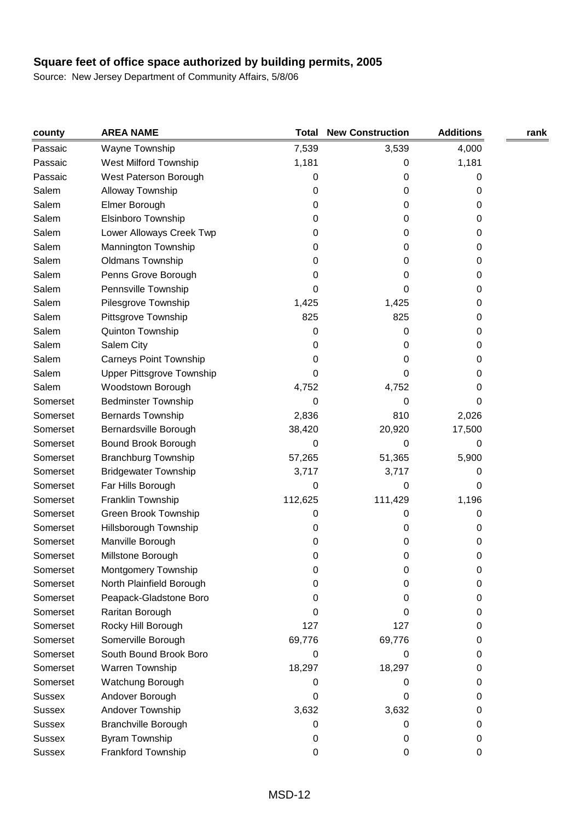| county        | <b>AREA NAME</b>              | Total   | <b>New Construction</b> | <b>Additions</b> | rank |
|---------------|-------------------------------|---------|-------------------------|------------------|------|
| Passaic       | Wayne Township                | 7,539   | 3,539                   | 4,000            |      |
| Passaic       | West Milford Township         | 1,181   | 0                       | 1,181            |      |
| Passaic       | West Paterson Borough         | 0       | 0                       | 0                |      |
| Salem         | Alloway Township              | 0       | 0                       | 0                |      |
| Salem         | Elmer Borough                 | 0       | 0                       | 0                |      |
| Salem         | Elsinboro Township            | 0       | 0                       | 0                |      |
| Salem         | Lower Alloways Creek Twp      | 0       | 0                       | 0                |      |
| Salem         | Mannington Township           | 0       | 0                       | 0                |      |
| Salem         | <b>Oldmans Township</b>       | 0       | 0                       | 0                |      |
| Salem         | Penns Grove Borough           | 0       | 0                       | 0                |      |
| Salem         | Pennsville Township           | 0       | 0                       | 0                |      |
| Salem         | Pilesgrove Township           | 1,425   | 1,425                   | 0                |      |
| Salem         | Pittsgrove Township           | 825     | 825                     | 0                |      |
| Salem         | Quinton Township              | 0       | 0                       | 0                |      |
| Salem         | Salem City                    | 0       | 0                       | 0                |      |
| Salem         | <b>Carneys Point Township</b> | 0       | 0                       | 0                |      |
| Salem         | Upper Pittsgrove Township     | 0       | 0                       | 0                |      |
| Salem         | Woodstown Borough             | 4,752   | 4,752                   | 0                |      |
| Somerset      | <b>Bedminster Township</b>    | 0       | 0                       | 0                |      |
| Somerset      | <b>Bernards Township</b>      | 2,836   | 810                     | 2,026            |      |
| Somerset      | Bernardsville Borough         | 38,420  | 20,920                  | 17,500           |      |
| Somerset      | Bound Brook Borough           | 0       | 0                       | 0                |      |
| Somerset      | <b>Branchburg Township</b>    | 57,265  | 51,365                  | 5,900            |      |
| Somerset      | <b>Bridgewater Township</b>   | 3,717   | 3,717                   | 0                |      |
| Somerset      | Far Hills Borough             | 0       | 0                       | 0                |      |
| Somerset      | Franklin Township             | 112,625 | 111,429                 | 1,196            |      |
| Somerset      | Green Brook Township          | 0       | 0                       | 0                |      |
| Somerset      | Hillsborough Township         | 0       | 0                       | 0                |      |
| Somerset      | Manville Borough              | 0       | 0                       | 0                |      |
| Somerset      | Millstone Borough             | 0       | 0                       | 0                |      |
| Somerset      | Montgomery Township           | 0       | 0                       | 0                |      |
| Somerset      | North Plainfield Borough      | 0       | 0                       | 0                |      |
| Somerset      | Peapack-Gladstone Boro        | 0       | 0                       | 0                |      |
| Somerset      | Raritan Borough               | 0       | 0                       | 0                |      |
| Somerset      | Rocky Hill Borough            | 127     | 127                     | 0                |      |
| Somerset      | Somerville Borough            | 69,776  | 69,776                  | 0                |      |
| Somerset      | South Bound Brook Boro        | 0       | 0                       | 0                |      |
| Somerset      | Warren Township               | 18,297  | 18,297                  | 0                |      |
| Somerset      | Watchung Borough              | 0       | 0                       | 0                |      |
| <b>Sussex</b> | Andover Borough               | 0       | 0                       | 0                |      |
| <b>Sussex</b> | Andover Township              | 3,632   | 3,632                   | 0                |      |
| <b>Sussex</b> | <b>Branchville Borough</b>    | 0       | 0                       | 0                |      |
| <b>Sussex</b> | <b>Byram Township</b>         | 0       | 0                       | 0                |      |
| <b>Sussex</b> | Frankford Township            | 0       | 0                       | 0                |      |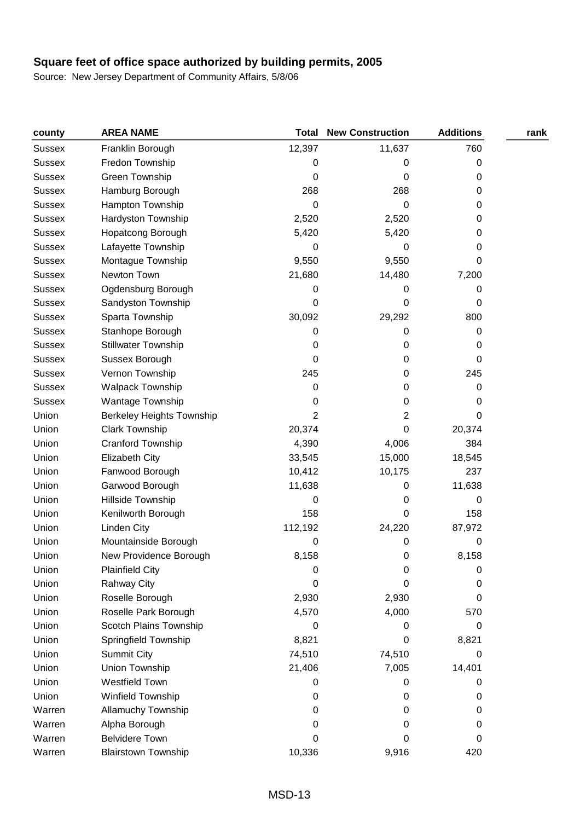| county        | <b>AREA NAME</b>                 | Total   | <b>New Construction</b> | <b>Additions</b> | rank |
|---------------|----------------------------------|---------|-------------------------|------------------|------|
| <b>Sussex</b> | Franklin Borough                 | 12,397  | 11,637                  | 760              |      |
| <b>Sussex</b> | Fredon Township                  | 0       | 0                       | 0                |      |
| <b>Sussex</b> | <b>Green Township</b>            | 0       | 0                       | 0                |      |
| <b>Sussex</b> | Hamburg Borough                  | 268     | 268                     | 0                |      |
| <b>Sussex</b> | Hampton Township                 | 0       | 0                       | 0                |      |
| <b>Sussex</b> | Hardyston Township               | 2,520   | 2,520                   | 0                |      |
| <b>Sussex</b> | Hopatcong Borough                | 5,420   | 5,420                   | 0                |      |
| <b>Sussex</b> | Lafayette Township               | 0       | 0                       | 0                |      |
| <b>Sussex</b> | Montague Township                | 9,550   | 9,550                   | 0                |      |
| <b>Sussex</b> | Newton Town                      | 21,680  | 14,480                  | 7,200            |      |
| <b>Sussex</b> | Ogdensburg Borough               | 0       | 0                       | 0                |      |
| <b>Sussex</b> | Sandyston Township               | 0       | 0                       | 0                |      |
| <b>Sussex</b> | Sparta Township                  | 30,092  | 29,292                  | 800              |      |
| <b>Sussex</b> | Stanhope Borough                 | 0       | 0                       | 0                |      |
| <b>Sussex</b> | <b>Stillwater Township</b>       | 0       | 0                       | 0                |      |
| <b>Sussex</b> | Sussex Borough                   | 0       | 0                       | 0                |      |
| <b>Sussex</b> | Vernon Township                  | 245     | 0                       | 245              |      |
| <b>Sussex</b> | <b>Walpack Township</b>          | 0       | 0                       | 0                |      |
| <b>Sussex</b> | Wantage Township                 | 0       | 0                       | 0                |      |
| Union         | <b>Berkeley Heights Township</b> | 2       | 2                       | 0                |      |
| Union         | <b>Clark Township</b>            | 20,374  | 0                       | 20,374           |      |
| Union         | Cranford Township                | 4,390   | 4,006                   | 384              |      |
| Union         | <b>Elizabeth City</b>            | 33,545  | 15,000                  | 18,545           |      |
| Union         | Fanwood Borough                  | 10,412  | 10,175                  | 237              |      |
| Union         | Garwood Borough                  | 11,638  | 0                       | 11,638           |      |
| Union         | Hillside Township                | 0       | 0                       | 0                |      |
| Union         | Kenilworth Borough               | 158     | 0                       | 158              |      |
| Union         | <b>Linden City</b>               | 112,192 | 24,220                  | 87,972           |      |
| Union         | Mountainside Borough             | 0       | 0                       | 0                |      |
| Union         | New Providence Borough           | 8,158   | 0                       | 8,158            |      |
| Union         | <b>Plainfield City</b>           | 0       | 0                       | 0                |      |
| Union         | <b>Rahway City</b>               | 0       | 0                       | 0                |      |
| Union         | Roselle Borough                  | 2,930   | 2,930                   | 0                |      |
| Union         | Roselle Park Borough             | 4,570   | 4,000                   | 570              |      |
| Union         | Scotch Plains Township           | 0       | 0                       | 0                |      |
| Union         | Springfield Township             | 8,821   | 0                       | 8,821            |      |
| Union         | <b>Summit City</b>               | 74,510  | 74,510                  | 0                |      |
| Union         | Union Township                   | 21,406  | 7,005                   | 14,401           |      |
| Union         | Westfield Town                   | 0       | 0                       | 0                |      |
| Union         | Winfield Township                | 0       | 0                       | 0                |      |
| Warren        | <b>Allamuchy Township</b>        | 0       | 0                       | 0                |      |
| Warren        | Alpha Borough                    | 0       | 0                       | 0                |      |
| Warren        | <b>Belvidere Town</b>            | 0       | 0                       | 0                |      |
| Warren        | <b>Blairstown Township</b>       | 10,336  | 9,916                   | 420              |      |